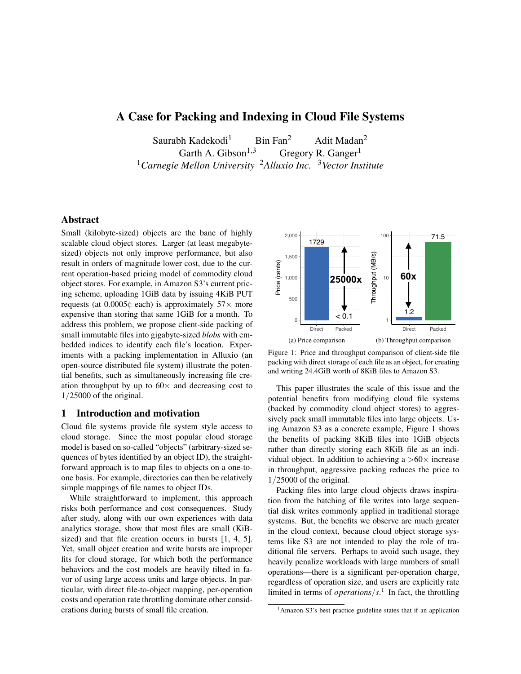# A Case for Packing and Indexing in Cloud File Systems

Saurabh Kadekodi<sup>1</sup> Bin Fan<sup>2</sup> Adit Madan<sup>2</sup><br>Garth A. Gibson<sup>1,3</sup> Gregory R. Ganger<sup>1</sup> Gregory R. Ganger<sup>1</sup> <sup>1</sup>*Carnegie Mellon University* <sup>2</sup>*Alluxio Inc.* <sup>3</sup>*Vector Institute*

## Abstract

Small (kilobyte-sized) objects are the bane of highly scalable cloud object stores. Larger (at least megabytesized) objects not only improve performance, but also result in orders of magnitude lower cost, due to the current operation-based pricing model of commodity cloud object stores. For example, in Amazon S3's current pricing scheme, uploading 1GiB data by issuing 4KiB PUT requests (at  $0.0005\dot{\zeta}$  each) is approximately  $57\times$  more expensive than storing that same 1GiB for a month. To address this problem, we propose client-side packing of small immutable files into gigabyte-sized *blobs* with embedded indices to identify each file's location. Experiments with a packing implementation in Alluxio (an open-source distributed file system) illustrate the potential benefits, such as simultaneously increasing file creation throughput by up to  $60 \times$  and decreasing cost to 1*/*25000 of the original.

## 1 Introduction and motivation

Cloud file systems provide file system style access to cloud storage. Since the most popular cloud storage model is based on so-called "objects" (arbitrary-sized sequences of bytes identified by an object ID), the straightforward approach is to map files to objects on a one-toone basis. For example, directories can then be relatively simple mappings of file names to object IDs.

While straightforward to implement, this approach risks both performance and cost consequences. Study after study, along with our own experiences with data analytics storage, show that most files are small (KiBsized) and that file creation occurs in bursts [1, 4, 5]. Yet, small object creation and write bursts are improper fits for cloud storage, for which both the performance behaviors and the cost models are heavily tilted in favor of using large access units and large objects. In particular, with direct file-to-object mapping, per-operation costs and operation rate throttling dominate other considerations during bursts of small file creation.



Figure 1: Price and throughput comparison of client-side file packing with direct storage of each file as an object, for creating and writing 24.4GiB worth of 8KiB files to Amazon S3.

This paper illustrates the scale of this issue and the potential benefits from modifying cloud file systems (backed by commodity cloud object stores) to aggressively pack small immutable files into large objects. Using Amazon S3 as a concrete example, Figure 1 shows the benefits of packing 8KiB files into 1GiB objects rather than directly storing each 8KiB file as an individual object. In addition to achieving a  $>60\times$  increase in throughput, aggressive packing reduces the price to 1*/*25000 of the original.

Packing files into large cloud objects draws inspiration from the batching of file writes into large sequential disk writes commonly applied in traditional storage systems. But, the benefits we observe are much greater in the cloud context, because cloud object storage systems like S3 are not intended to play the role of traditional file servers. Perhaps to avoid such usage, they heavily penalize workloads with large numbers of small operations—there is a significant per-operation charge, regardless of operation size, and users are explicitly rate limited in terms of *operations/s*. <sup>1</sup> In fact, the throttling

<sup>&</sup>lt;sup>1</sup>Amazon S3's best practice guideline states that if an application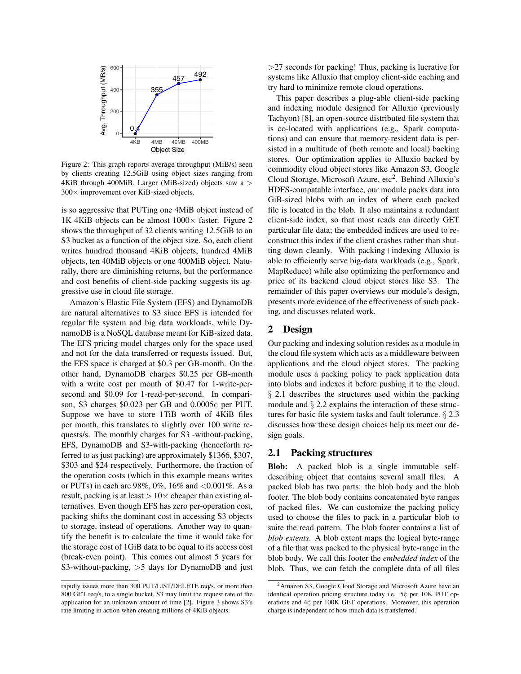

Figure 2: This graph reports average throughput (MiB/s) seen by clients creating 12.5GiB using object sizes ranging from 4KiB through 400MiB. Larger (MiB-sized) objects saw a *>*  $300 \times$  improvement over KiB-sized objects.

is so aggressive that PUTing one 4MiB object instead of 1K 4KiB objects can be almost  $1000 \times$  faster. Figure 2 shows the throughput of 32 clients writing 12.5GiB to an S3 bucket as a function of the object size. So, each client writes hundred thousand 4KiB objects, hundred 4MiB objects, ten 40MiB objects or one 400MiB object. Naturally, there are diminishing returns, but the performance and cost benefits of client-side packing suggests its aggressive use in cloud file storage.

Amazon's Elastic File System (EFS) and DynamoDB are natural alternatives to S3 since EFS is intended for regular file system and big data workloads, while DynamoDB is a NoSQL database meant for KiB-sized data. The EFS pricing model charges only for the space used and not for the data transferred or requests issued. But, the EFS space is charged at \$0.3 per GB-month. On the other hand, DynamoDB charges \$0.25 per GB-month with a write cost per month of \$0.47 for 1-write-persecond and \$0.09 for 1-read-per-second. In comparison, S3 charges \$0.023 per GB and 0.0005¢ per PUT. Suppose we have to store 1TiB worth of 4KiB files per month, this translates to slightly over 100 write requests/s. The monthly charges for S3 -without-packing, EFS, DynamoDB and S3-with-packing (henceforth referred to as just packing) are approximately \$1366, \$307, \$303 and \$24 respectively. Furthermore, the fraction of the operation costs (which in this example means writes or PUTs) in each are 98%, 0%, 16% and *<*0.001%. As a result, packing is at least  $> 10 \times$  cheaper than existing alternatives. Even though EFS has zero per-operation cost, packing shifts the dominant cost in accessing S3 objects to storage, instead of operations. Another way to quantify the benefit is to calculate the time it would take for the storage cost of 1GiB data to be equal to its access cost (break-even point). This comes out almost 5 years for S3-without-packing, *>*5 days for DynamoDB and just

*>*27 seconds for packing! Thus, packing is lucrative for systems like Alluxio that employ client-side caching and try hard to minimize remote cloud operations.

This paper describes a plug-able client-side packing and indexing module designed for Alluxio (previously Tachyon) [8], an open-source distributed file system that is co-located with applications (e.g., Spark computations) and can ensure that memory-resident data is persisted in a multitude of (both remote and local) backing stores. Our optimization applies to Alluxio backed by commodity cloud object stores like Amazon S3, Google Cloud Storage, Microsoft Azure,  $etc<sup>2</sup>$ . Behind Alluxio's HDFS-compatable interface, our module packs data into GiB-sized blobs with an index of where each packed file is located in the blob. It also maintains a redundant client-side index, so that most reads can directly GET particular file data; the embedded indices are used to reconstruct this index if the client crashes rather than shutting down cleanly. With packing+indexing Alluxio is able to efficiently serve big-data workloads (e.g., Spark, MapReduce) while also optimizing the performance and price of its backend cloud object stores like S3. The remainder of this paper overviews our module's design, presents more evidence of the effectiveness of such packing, and discusses related work.

## 2 Design

Our packing and indexing solution resides as a module in the cloud file system which acts as a middleware between applications and the cloud object stores. The packing module uses a packing policy to pack application data into blobs and indexes it before pushing it to the cloud. *§* 2.1 describes the structures used within the packing module and *§* 2.2 explains the interaction of these structures for basic file system tasks and fault tolerance. *§* 2.3 discusses how these design choices help us meet our design goals.

## 2.1 Packing structures

Blob: A packed blob is a single immutable selfdescribing object that contains several small files. A packed blob has two parts: the blob body and the blob footer. The blob body contains concatenated byte ranges of packed files. We can customize the packing policy used to choose the files to pack in a particular blob to suite the read pattern. The blob footer contains a list of *blob extents*. A blob extent maps the logical byte-range of a file that was packed to the physical byte-range in the blob body. We call this footer the *embedded index* of the blob. Thus, we can fetch the complete data of all files

rapidly issues more than 300 PUT/LIST/DELETE req/s, or more than 800 GET req/s, to a single bucket, S3 may limit the request rate of the application for an unknown amount of time [2]. Figure 3 shows S3's rate limiting in action when creating millions of 4KiB objects.

<sup>2</sup>Amazon S3, Google Cloud Storage and Microsoft Azure have an identical operation pricing structure today i.e. 5¢ per 10K PUT operations and 4¢ per 100K GET operations. Moreover, this operation charge is independent of how much data is transferred.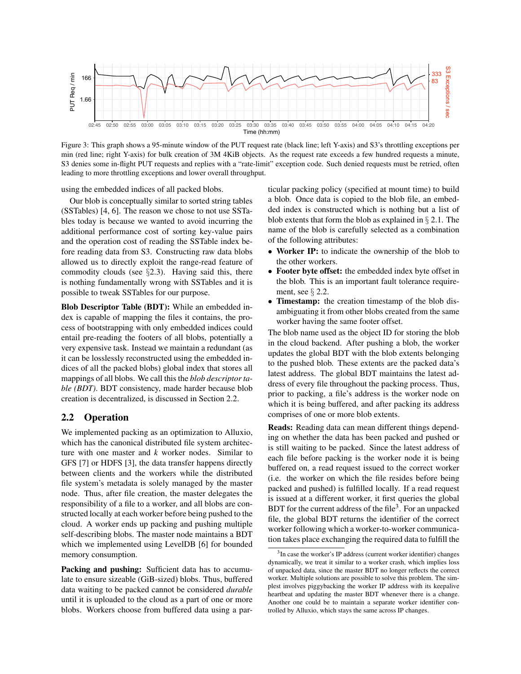

Figure 3: This graph shows a 95-minute window of the PUT request rate (black line; left Y-axis) and S3's throttling exceptions per min (red line; right Y-axis) for bulk creation of 3M 4KiB objects. As the request rate exceeds a few hundred requests a minute, S3 denies some in-flight PUT requests and replies with a "rate-limit" exception code. Such denied requests must be retried, often leading to more throttling exceptions and lower overall throughput.

using the embedded indices of all packed blobs.

Our blob is conceptually similar to sorted string tables (SSTables) [4, 6]. The reason we chose to not use SSTables today is because we wanted to avoid incurring the additional performance cost of sorting key-value pairs and the operation cost of reading the SSTable index before reading data from S3. Constructing raw data blobs allowed us to directly exploit the range-read feature of commodity clouds (see *§*2.3). Having said this, there is nothing fundamentally wrong with SSTables and it is possible to tweak SSTables for our purpose.

Blob Descriptor Table (BDT): While an embedded index is capable of mapping the files it contains, the process of bootstrapping with only embedded indices could entail pre-reading the footers of all blobs, potentially a very expensive task. Instead we maintain a redundant (as it can be losslessly reconstructed using the embedded indices of all the packed blobs) global index that stores all mappings of all blobs. We call this the *blob descriptor table (BDT)*. BDT consistency, made harder because blob creation is decentralized, is discussed in Section 2.2.

#### 2.2 Operation

We implemented packing as an optimization to Alluxio, which has the canonical distributed file system architecture with one master and *k* worker nodes. Similar to GFS [7] or HDFS [3], the data transfer happens directly between clients and the workers while the distributed file system's metadata is solely managed by the master node. Thus, after file creation, the master delegates the responsibility of a file to a worker, and all blobs are constructed locally at each worker before being pushed to the cloud. A worker ends up packing and pushing multiple self-describing blobs. The master node maintains a BDT which we implemented using LevelDB [6] for bounded memory consumption.

Packing and pushing: Sufficient data has to accumulate to ensure sizeable (GiB-sized) blobs. Thus, buffered data waiting to be packed cannot be considered *durable* until it is uploaded to the cloud as a part of one or more blobs. Workers choose from buffered data using a particular packing policy (specified at mount time) to build a blob. Once data is copied to the blob file, an embedded index is constructed which is nothing but a list of blob extents that form the blob as explained in *§* 2.1. The name of the blob is carefully selected as a combination of the following attributes:

- Worker IP: to indicate the ownership of the blob to the other workers.
- *•* Footer byte offset: the embedded index byte offset in the blob. This is an important fault tolerance requirement, see *§* 2.2.
- **Timestamp:** the creation timestamp of the blob disambiguating it from other blobs created from the same worker having the same footer offset.

The blob name used as the object ID for storing the blob in the cloud backend. After pushing a blob, the worker updates the global BDT with the blob extents belonging to the pushed blob. These extents are the packed data's latest address. The global BDT maintains the latest address of every file throughout the packing process. Thus, prior to packing, a file's address is the worker node on which it is being buffered, and after packing its address comprises of one or more blob extents.

Reads: Reading data can mean different things depending on whether the data has been packed and pushed or is still waiting to be packed. Since the latest address of each file before packing is the worker node it is being buffered on, a read request issued to the correct worker (i.e. the worker on which the file resides before being packed and pushed) is fulfilled locally. If a read request is issued at a different worker, it first queries the global BDT for the current address of the file<sup>3</sup>. For an unpacked file, the global BDT returns the identifier of the correct worker following which a worker-to-worker communication takes place exchanging the required data to fulfill the

<sup>&</sup>lt;sup>3</sup>In case the worker's IP address (current worker identifier) changes dynamically, we treat it similar to a worker crash, which implies loss of unpacked data, since the master BDT no longer reflects the correct worker. Multiple solutions are possible to solve this problem. The simplest involves piggybacking the worker IP address with its keepalive heartbeat and updating the master BDT whenever there is a change. Another one could be to maintain a separate worker identifier controlled by Alluxio, which stays the same across IP changes.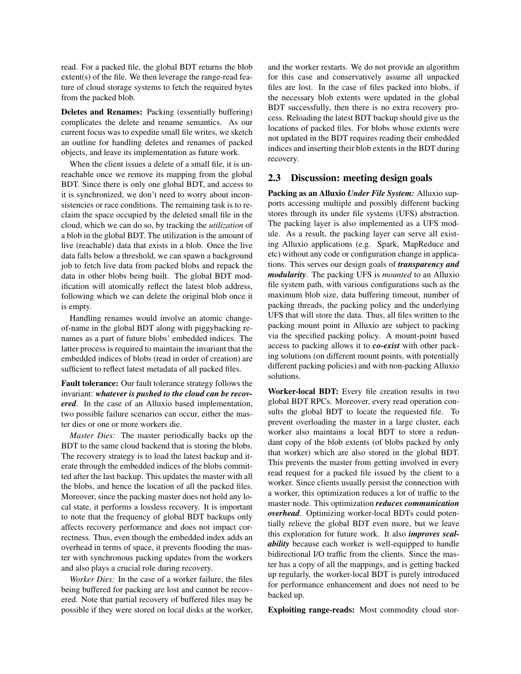read. For a packed file, the global BDT returns the blob extent(s) of the file. We then leverage the range-read feature of cloud storage systems to fetch the required bytes from the packed blob.

Deletes and Renames: Packing (essentially buffering) complicates the delete and rename semantics. As our current focus was to expedite small file writes, we sketch an outline for handling deletes and renames of packed objects, and leave its implementation as future work.

When the client issues a delete of a small file, it is unreachable once we remove its mapping from the global BDT. Since there is only one global BDT, and access to it is synchronized, we don't need to worry about inconsistencies or race conditions. The remaining task is to reclaim the space occupied by the deleted small file in the cloud, which we can do so, by tracking the *utilization* of a blob in the global BDT. The utilization is the amount of live (reachable) data that exists in a blob. Once the live data falls below a threshold, we can spawn a background job to fetch live data from packed blobs and repack the data in other blobs being built. The global BDT modification will atomically reflect the latest blob address, following which we can delete the original blob once it is empty.

Handling renames would involve an atomic changeof-name in the global BDT along with piggybacking renames as a part of future blobs' embedded indices. The latter process is required to maintain the invariant that the embedded indices of blobs (read in order of creation) are sufficient to reflect latest metadata of all packed files.

Fault tolerance: Our fault tolerance strategy follows the invariant: *whatever is pushed to the cloud can be recovered*. In the case of an Alluxio based implementation, two possible failure scenarios can occur, either the master dies or one or more workers die.

*Master Dies:* The master periodically backs up the BDT to the same cloud backend that is storing the blobs. The recovery strategy is to load the latest backup and iterate through the embedded indices of the blobs committed after the last backup. This updates the master with all the blobs, and hence the location of all the packed files. Moreover, since the packing master does not hold any local state, it performs a lossless recovery. It is important to note that the frequency of global BDT backups only affects recovery performance and does not impact correctness. Thus, even though the embedded index adds an overhead in terms of space, it prevents flooding the master with synchronous packing updates from the workers and also plays a crucial role during recovery.

*Worker Dies:* In the case of a worker failure, the files being buffered for packing are lost and cannot be recovered. Note that partial recovery of buffered files may be possible if they were stored on local disks at the worker, and the worker restarts. We do not provide an algorithm for this case and conservatively assume all unpacked files are lost. In the case of files packed into blobs, if the necessary blob extents were updated in the global BDT successfully, then there is no extra recovery process. Reloading the latest BDT backup should give us the locations of packed files. For blobs whose extents were not updated in the BDT requires reading their embedded indices and inserting their blob extents in the BDT during recovery.

#### 2.3 Discussion: meeting design goals

Packing as an Alluxio *Under File System:* Alluxio supports accessing multiple and possibly different backing stores through its under file systems (UFS) abstraction. The packing layer is also implemented as a UFS module. As a result, the packing layer can serve all existing Alluxio applications (e.g. Spark, MapReduce and etc) without any code or configuration change in applications. This serves our design goals of *transparency and modularity*. The packing UFS is *mounted* to an Alluxio file system path, with various configurations such as the maximum blob size, data buffering timeout, number of packing threads, the packing policy and the underlying UFS that will store the data. Thus, all files written to the packing mount point in Alluxio are subject to packing via the specified packing policy. A mount-point based access to packing allows it to *co-exist* with other packing solutions (on different mount points, with potentially different packing policies) and with non-packing Alluxio solutions.

Worker-local BDT: Every file creation results in two global BDT RPCs. Moreover, every read operation consults the global BDT to locate the requested file. To prevent overloading the master in a large cluster, each worker also maintains a local BDT to store a redundant copy of the blob extents (of blobs packed by only that worker) which are also stored in the global BDT. This prevents the master from getting involved in every read request for a packed file issued by the client to a worker. Since clients usually persist the connection with a worker, this optimization reduces a lot of traffic to the master node. This optimization *reduces communication overhead*. Optimizing worker-local BDTs could potentially relieve the global BDT even more, but we leave this exploration for future work. It also *improves scalability* because each worker is well-equipped to handle bidirectional I/O traffic from the clients. Since the master has a copy of all the mappings, and is getting backed up regularly, the worker-local BDT is purely introduced for performance enhancement and does not need to be backed up.

Exploiting range-reads: Most commodity cloud stor-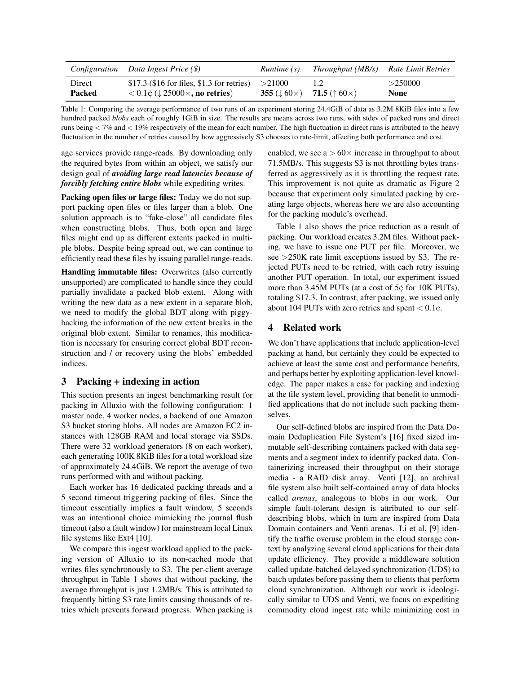|        | Configuration Data Ingest Price $(\$)$                | Runtime (s)                      | Throughput (MB/s) Rate Limit Retries   |         |
|--------|-------------------------------------------------------|----------------------------------|----------------------------------------|---------|
| Direct | $$17.3$ (\$16 for files, \$1.3 for retries)           | >21000                           | 1.2                                    | >250000 |
| Packed | $< 0.1$ ¢ ( $\downarrow$ 25000 $\times$ , no retries) | 355 ( $\downarrow$ 60 $\times$ ) | <b>71.5</b> ( $\uparrow$ 60 $\times$ ) | None    |

Table 1: Comparing the average performance of two runs of an experiment storing 24.4GiB of data as 3.2M 8KiB files into a few hundred packed *blobs* each of roughly 1GiB in size. The results are means across two runs, with stdev of packed runs and direct runs being *<* 7% and *<* 19% respectively of the mean for each number. The high fluctuation in direct runs is attributed to the heavy fluctuation in the number of retries caused by how aggressively S3 chooses to rate-limit, affecting both performance and cost.

age services provide range-reads. By downloading only the required bytes from within an object, we satisfy our design goal of *avoiding large read latencies because of forcibly fetching entire blobs* while expediting writes.

Packing open files or large files: Today we do not support packing open files or files larger than a blob. One solution approach is to "fake-close" all candidate files when constructing blobs. Thus, both open and large files might end up as different extents packed in multiple blobs. Despite being spread out, we can continue to efficiently read these files by issuing parallel range-reads.

Handling immutable files: Overwrites (also currently unsupported) are complicated to handle since they could partially invalidate a packed blob extent. Along with writing the new data as a new extent in a separate blob, we need to modify the global BDT along with piggybacking the information of the new extent breaks in the original blob extent. Similar to renames, this modification is necessary for ensuring correct global BDT reconstruction and / or recovery using the blobs' embedded indices.

## 3 Packing + indexing in action

This section presents an ingest benchmarking result for packing in Alluxio with the following configuration: 1 master node, 4 worker nodes, a backend of one Amazon S3 bucket storing blobs. All nodes are Amazon EC2 instances with 128GB RAM and local storage via SSDs. There were 32 workload generators (8 on each worker), each generating 100K 8KiB files for a total workload size of approximately 24.4GiB. We report the average of two runs performed with and without packing.

Each worker has 16 dedicated packing threads and a 5 second timeout triggering packing of files. Since the timeout essentially implies a fault window, 5 seconds was an intentional choice mimicking the journal flush timeout (also a fault window) for mainstream local Linux file systems like Ext4 [10].

We compare this ingest workload applied to the packing version of Alluxio to its non-cached mode that writes files synchronously to S3. The per-client average throughput in Table 1 shows that without packing, the average throughput is just 1.2MB/s. This is attributed to frequently hitting S3 rate limits causing thousands of retries which prevents forward progress. When packing is enabled, we see  $a > 60 \times$  increase in throughput to about 71.5MB/s. This suggests S3 is not throttling bytes transferred as aggressively as it is throttling the request rate. This improvement is not quite as dramatic as Figure 2 because that experiment only simulated packing by creating large objects, whereas here we are also accounting for the packing module's overhead.

Table 1 also shows the price reduction as a result of packing. Our workload creates 3.2M files. Without packing, we have to issue one PUT per file. Moreover, we see *>*250K rate limit exceptions issued by S3. The rejected PUTs need to be retried, with each retry issuing another PUT operation. In total, our experiment issued more than 3.45M PUTs (at a cost of 5¢ for 10K PUTs), totaling \$17*.*3. In contrast, after packing, we issued only about 104 PUTs with zero retries and spent *<* 0*.*1¢.

## 4 Related work

We don't have applications that include application-level packing at hand, but certainly they could be expected to achieve at least the same cost and performance benefits, and perhaps better by exploiting application-level knowledge. The paper makes a case for packing and indexing at the file system level, providing that benefit to unmodified applications that do not include such packing themselves.

Our self-defined blobs are inspired from the Data Domain Deduplication File System's [16] fixed sized immutable self-describing containers packed with data segments and a segment index to identify packed data. Containerizing increased their throughput on their storage media - a RAID disk array. Venti [12], an archival file system also built self-contained array of data blocks called *arenas*, analogous to blobs in our work. Our simple fault-tolerant design is attributed to our selfdescribing blobs, which in turn are inspired from Data Domain containers and Venti arenas. Li et al. [9] identify the traffic overuse problem in the cloud storage context by analyzing several cloud applications for their data update efficiency. They provide a middleware solution called update-batched delayed synchronization (UDS) to batch updates before passing them to clients that perform cloud synchronization. Although our work is ideologically similar to UDS and Venti, we focus on expediting commodity cloud ingest rate while minimizing cost in